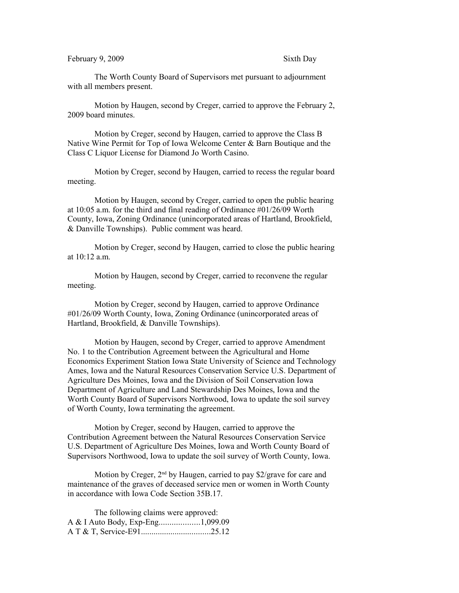## February 9, 2009 Sixth Day

The Worth County Board of Supervisors met pursuant to adjournment with all members present.

Motion by Haugen, second by Creger, carried to approve the February 2, 2009 board minutes.

Motion by Creger, second by Haugen, carried to approve the Class B Native Wine Permit for Top of Iowa Welcome Center & Barn Boutique and the Class C Liquor License for Diamond Jo Worth Casino.

Motion by Creger, second by Haugen, carried to recess the regular board meeting.

Motion by Haugen, second by Creger, carried to open the public hearing at 10:05 a.m. for the third and final reading of Ordinance #01/26/09 Worth County, Iowa, Zoning Ordinance (unincorporated areas of Hartland, Brookfield, & Danville Townships). Public comment was heard.

Motion by Creger, second by Haugen, carried to close the public hearing at 10:12 a.m.

Motion by Haugen, second by Creger, carried to reconvene the regular meeting.

Motion by Creger, second by Haugen, carried to approve Ordinance #01/26/09 Worth County, Iowa, Zoning Ordinance (unincorporated areas of Hartland, Brookfield, & Danville Townships).

Motion by Haugen, second by Creger, carried to approve Amendment No. 1 to the Contribution Agreement between the Agricultural and Home Economics Experiment Station Iowa State University of Science and Technology Ames, Iowa and the Natural Resources Conservation Service U.S. Department of Agriculture Des Moines, Iowa and the Division of Soil Conservation Iowa Department of Agriculture and Land Stewardship Des Moines, Iowa and the Worth County Board of Supervisors Northwood, Iowa to update the soil survey of Worth County, Iowa terminating the agreement.

Motion by Creger, second by Haugen, carried to approve the Contribution Agreement between the Natural Resources Conservation Service U.S. Department of Agriculture Des Moines, Iowa and Worth County Board of Supervisors Northwood, Iowa to update the soil survey of Worth County, Iowa.

Motion by Creger,  $2<sup>nd</sup>$  by Haugen, carried to pay \$2/grave for care and maintenance of the graves of deceased service men or women in Worth County in accordance with Iowa Code Section 35B.17.

| The following claims were approved: |  |
|-------------------------------------|--|
| A & I Auto Body, Exp-Eng1,099.09    |  |
|                                     |  |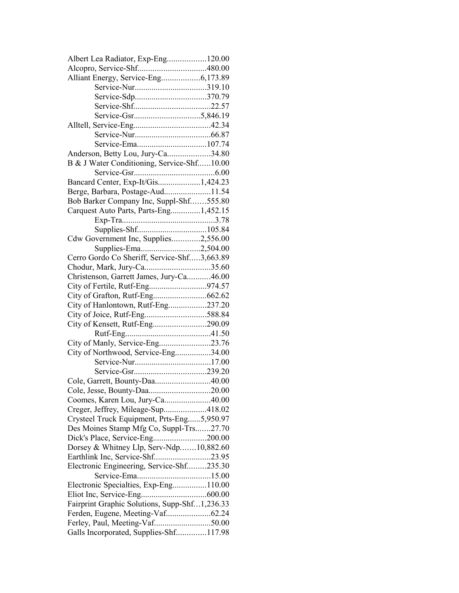| Albert Lea Radiator, Exp-Eng120.00            |  |
|-----------------------------------------------|--|
|                                               |  |
| Alliant Energy, Service-Eng6,173.89           |  |
|                                               |  |
|                                               |  |
|                                               |  |
|                                               |  |
|                                               |  |
|                                               |  |
|                                               |  |
| Anderson, Betty Lou, Jury-Ca34.80             |  |
| B & J Water Conditioning, Service-Shf10.00    |  |
|                                               |  |
| Bancard Center, Exp-It/Gis1,424.23            |  |
| Berge, Barbara, Postage-Aud11.54              |  |
| Bob Barker Company Inc, Suppl-Shf555.80       |  |
| Carquest Auto Parts, Parts-Eng1,452.15        |  |
|                                               |  |
|                                               |  |
|                                               |  |
| Cdw Government Inc, Supplies2,556.00          |  |
| Supplies-Ema2,504.00                          |  |
| Cerro Gordo Co Sheriff, Service-Shf3,663.89   |  |
| Chodur, Mark, Jury-Ca35.60                    |  |
| Christenson, Garrett James, Jury-Ca46.00      |  |
| City of Fertile, Rutf-Eng974.57               |  |
|                                               |  |
| City of Hanlontown, Rutf-Eng237.20            |  |
| City of Joice, Rutf-Eng588.84                 |  |
| City of Kensett, Rutf-Eng290.09               |  |
|                                               |  |
| City of Manly, Service-Eng23.76               |  |
| City of Northwood, Service-Eng34.00           |  |
|                                               |  |
|                                               |  |
| Cole, Garrett, Bounty-Daa40.00                |  |
| Cole, Jesse, Bounty-Daa20.00                  |  |
| Coomes, Karen Lou, Jury-Ca40.00               |  |
| Creger, Jeffrey, Mileage-Sup418.02            |  |
| Crysteel Truck Equipment, Prts-Eng5,950.97    |  |
| Des Moines Stamp Mfg Co, Suppl-Trs27.70       |  |
| Dick's Place, Service-Eng200.00               |  |
| Dorsey & Whitney Llp, Serv-Ndp10,882.60       |  |
| Earthlink Inc, Service-Shf23.95               |  |
| Electronic Engineering, Service-Shf235.30     |  |
|                                               |  |
| Electronic Specialties, Exp-Eng110.00         |  |
|                                               |  |
| Fairprint Graphic Solutions, Supp-Shf1,236.33 |  |
| Ferden, Eugene, Meeting-Vaf62.24              |  |
|                                               |  |
| Galls Incorporated, Supplies-Shf117.98        |  |
|                                               |  |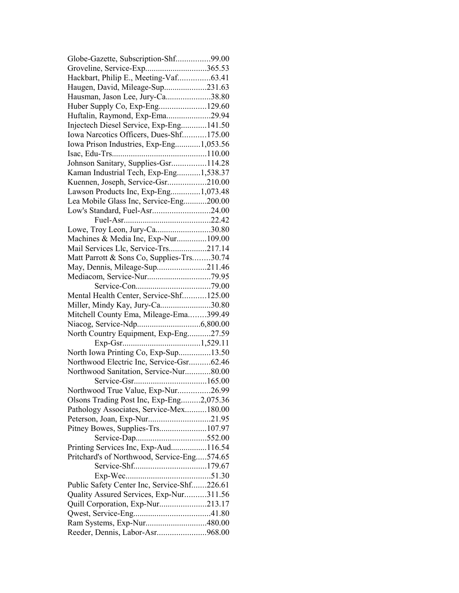| Globe-Gazette, Subscription-Shf99.00                          |  |
|---------------------------------------------------------------|--|
| Groveline, Service-Exp365.53                                  |  |
| Hackbart, Philip E., Meeting-Vaf63.41                         |  |
| Haugen, David, Mileage-Sup231.63                              |  |
| Hausman, Jason Lee, Jury-Ca38.80                              |  |
|                                                               |  |
| Huftalin, Raymond, Exp-Ema29.94                               |  |
| Injectech Diesel Service, Exp-Eng141.50                       |  |
| Iowa Narcotics Officers, Dues-Shf175.00                       |  |
| Iowa Prison Industries, Exp-Eng1,053.56                       |  |
|                                                               |  |
| Johnson Sanitary, Supplies-Gsr114.28                          |  |
| Kaman Industrial Tech, Exp-Eng1,538.37                        |  |
| Kuennen, Joseph, Service-Gsr210.00                            |  |
|                                                               |  |
| Lawson Products Inc, Exp-Eng1,073.48                          |  |
| Lea Mobile Glass Inc, Service-Eng200.00                       |  |
| Low's Standard, Fuel-Asr24.00                                 |  |
|                                                               |  |
| Lowe, Troy Leon, Jury-Ca30.80                                 |  |
| Machines & Media Inc, Exp-Nur109.00                           |  |
| Mail Services Llc, Service-Trs217.14                          |  |
| Matt Parrott & Sons Co, Supplies-Trs30.74                     |  |
| May, Dennis, Mileage-Sup211.46                                |  |
|                                                               |  |
|                                                               |  |
| Mental Health Center, Service-Shf125.00                       |  |
| Miller, Mindy Kay, Jury-Ca30.80                               |  |
| Mitchell County Ema, Mileage-Ema399.49                        |  |
|                                                               |  |
| North Country Equipment, Exp-Eng27.59                         |  |
|                                                               |  |
| North Iowa Printing Co, Exp-Sup13.50                          |  |
| Northwood Electric Inc, Service-Gsr62.46                      |  |
| Northwood Sanitation, Service-Nur80.00                        |  |
|                                                               |  |
| Northwood True Value, Exp-Nur26.99                            |  |
| Olsons Trading Post Inc, Exp-Eng2,075.36                      |  |
| Pathology Associates, Service-Mex180.00                       |  |
| Peterson, Joan, Exp-Nur21.95                                  |  |
| Pitney Bowes, Supplies-Trs107.97                              |  |
|                                                               |  |
| Printing Services Inc, Exp-Aud116.54                          |  |
|                                                               |  |
| Pritchard's of Northwood, Service-Eng574.65                   |  |
|                                                               |  |
|                                                               |  |
| Public Safety Center Inc, Service-Shf226.61                   |  |
| Quality Assured Services, Exp-Nur311.56                       |  |
| Quill Corporation, Exp-Nur213.17                              |  |
|                                                               |  |
| Ram Systems, Exp-Nur480.00<br>Reeder, Dennis, Labor-Asr968.00 |  |
|                                                               |  |